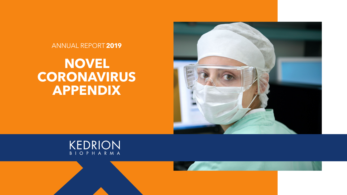# **NOVEL CORONAVIRUS APPENDIX**







#### ANNUAL REPORT**2019**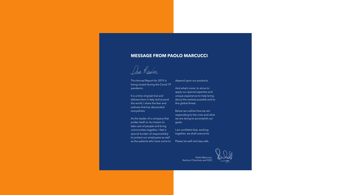This Annual Report for 2019 is being issued during the Covid-19 pandemic.

It is a time of great trial and distress here in Italy and around the world. I share the fear and sadness that has descended everywhere.

As the leader of a company that prides itself on its mission to take care of people and bring communities together, I feel a special burden of responsibility to protect our employees as well as the patients who have come to

depend upon our products.

And what's more: to strive to apply our special expertise and unique experience to help bring about the earliest possible end to this global threat.

Below we outline how we are responding to the crisis and what we are doing to accomplish our goals.

I am confident that, working together, we shall overcome.

Please be well and stay safe.



#### **MESSAGE FROM PAOLO MARCUCCI**

Dior Readers

Paolo Marcucci, Kedrion Chairman and CEO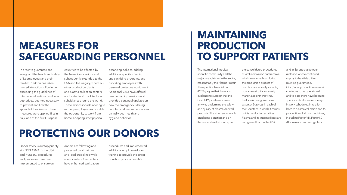#### **MEASURES FOR SAFEGUARDING PERSONNEL**

In order to guarantee and safeguard the health and safety of its employees and their families, Kedrion has taken immediate action following or exceeding the guidelines of international, national and local authorities, deemed necessary to prevent and limit the spread of the disease. These measures were applied first in Italy, one of the first European

countries to be affected by the Novel Coronavirus, and subsequently extended to the USA and to Hungary, where our other production plants and plasma collection centers are located and to all Kedrion subsidiaries around the world. These actions include offering to as many employees as possible the opportunity to work from home, adopting strict physical

The international medicalscientific community and the major associations in this sector, most notably the Plasma Protein Therapeutics Association (PPTA), agree that there is no evidence to suggest that the Covid-19 pandemic can in any way undermine the safety and quality of plasma-derived products. The stringent controls on plasma donation and on the raw material at source, and

the consolidated procedures of viral inactivation and removal which are carried out during the production process of our plasma-derived products, guarantee significant safety margins against this virus. Kedrion is recognized as an *essential business* in each of the Countries in which it carries out its production activities. Plasma and its intermediates are recognized both in the USA

distancing policies, adding additional specific cleaning and sanitizing programs, and providing employees with personal protective equipment. Additionally, we have offered remote training sessions and provided continual updates on how the emergency is being handled and recommendations on individual health and hygiene behavior.

## **MAINTAINING PRODUCTION TO SUPPORT PATIENTS**

and in Europe as *strategic materials* whose continued supply to health facilities must be guaranteed. Our global production network continues to be operational and to date there have been no specific critical issues or delays in work schedules, in relation both to plasma collection and to production of all our medicines, including Factor VIII, Factor IX, Albumin and Immunoglobulin.

### **PROTECTING OUR DONORS**

Donor safety is our top priority at KEDPLASMA. In the USA and Hungary, procedures and processes have been implemented to ensure our

donors are following and protected by all national and local guidelines while in our centers. Our centers have enhanced sanitization procedures and implemented additional employee/donor training to provide the safest donation process possible.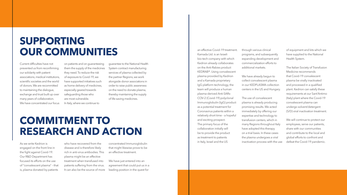#### **COMMITMENT TO RESEARCH AND ACTION**

As we write Kedrion is engaged on the front line in the fight against Covid-19. Our R&D Department has focused its efforts on the use of "convalescent plasma" – that is, plasma donated by patients

Current difficulties have not prevented us from reconfirming our solidarity with patient associations, medical institutions, scientific societies and the world of donors. We are recommitted to maintaining the dialogue, exchange and trust built up over many years of collaboration. We have concentrated our focus an effective Covid-19 treatment. Kamada Ltd. is an Israeli bio-tech company with which Kedrion already collaborates on the Anti-Rabies product KEDRAB®. Using convalescent plasma provided by Kedrion and a Kamada proprietary IgG platform technology, the team will produce a human plasma-derived Anti-SARs-COV-2 (Covid-19) polyclonal Immunoglobulin (IgG) product as a potential treatment for Coronavirus patients within a relatively short time – a hopeful and exciting prospect. The primary focus of the collaboration initially will be to provide the product as treatment to patients in Italy, Israel and the US

on patients and on guaranteeing them the supply of the medicines they need. To reduce the risk of exposure to Covid-19, we have supported initiatives such as home delivery of medicines, especially geared towards safeguarding those who are most vulnerable. In Italy, where we continue to

of equipment and kits which we have supplied to the National Health System.

The Italian Society of Transfusion Medicine recommends that Covid-19 convalescent plasma be virally inactivated and processed in a qualified plant. Kedrion can satisfy these requirements at our Sant'Antimo (Italy) plant where the Covid-19 convalescent plasma can undergo solvent/detergent (S/D) viral inactivation treatment.

We will continue to protect our employees, serve our patients, share with our communities and contribute to the local and global efforts to confront and defeat the Covid-19 pandemic.

### **SUPPORTING OUR COMMUNITIES**

guarantee to the National Health System contract manufacturing services of plasma collected by the partner Regions, we work alongside donor associations in order to raise public awareness on the need to donate plasma, thereby maintaining the supply of life-saving medicines.

who have recovered from the disease and is therefore likely rich in anti-virus antibodies. This plasma might be an effective treatment when transfused into patients suffering from the virus. It can also be the source of more

concentrated Immunoglobulin that might likewise prove to be an effective treatment.

We have just entered into an agreement that could put us in a leading position in the quest for

through various clinical programs, and subsequently expanding development and commercialization efforts to additional markets.

We have already begun to collect convalescent plasma in our KEDPLASMA collection centers in the US and Hungary.

The use of convalescent plasma is already producing promising results. We acted immediately by offering our expertise and technology to transfusion centers, which in many Regions throughout Italy have adopted this therapy on a trial basis. In these cases the plasma undergoes a viral inactivation process with the use